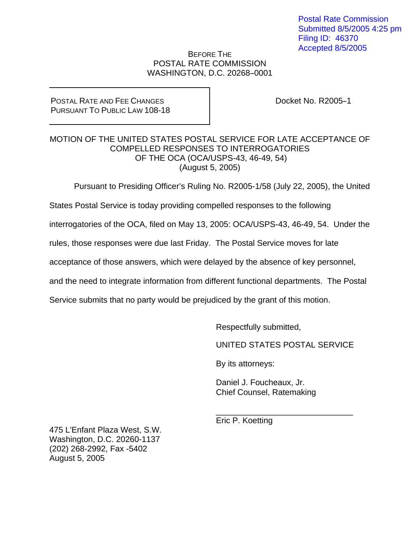Postal Rate Commission Submitted 8/5/2005 4:25 pm Filing ID: 46370 Accepted 8/5/2005

## BEFORE THE POSTAL RATE COMMISSION WASHINGTON, D.C. 20268-0001

## POSTAL RATE AND FEE CHANGES PURSUANT TO PUBLIC LAW 108-18

Docket No. R2005-1

## MOTION OF THE UNITED STATES POSTAL SERVICE FOR LATE ACCEPTANCE OF COMPELLED RESPONSES TO INTERROGATORIES OF THE OCA (OCA/USPS-43, 46-49, 54) (August 5, 2005)

Pursuant to Presiding Officer's Ruling No. R2005-1/58 (July 22, 2005), the United

States Postal Service is today providing compelled responses to the following

interrogatories of the OCA, filed on May 13, 2005: OCA/USPS-43, 46-49, 54. Under the

rules, those responses were due last Friday. The Postal Service moves for late

acceptance of those answers, which were delayed by the absence of key personnel,

 $\_$ 

and the need to integrate information from different functional departments. The Postal

Service submits that no party would be prejudiced by the grant of this motion.

Respectfully submitted,

UNITED STATES POSTAL SERVICE

By its attorneys:

 Daniel J. Foucheaux, Jr. Chief Counsel, Ratemaking

Eric P. Koetting

475 L'Enfant Plaza West, S.W. Washington, D.C. 20260-1137 (202) 268-2992, Fax -5402 August 5, 2005